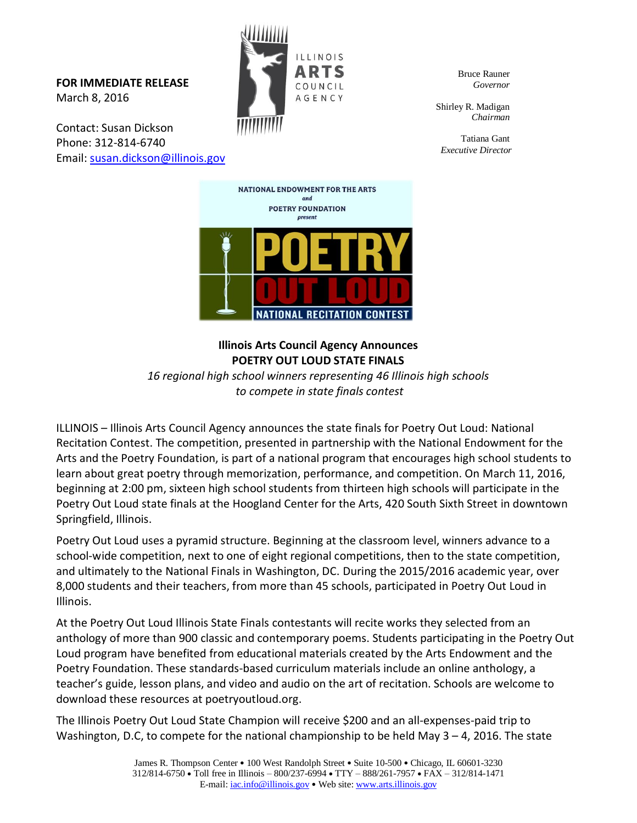**FOR IMMEDIATE RELEASE** March 8, 2016

Contact: Susan Dickson Phone: 312-814-6740 Email: [susan.dickson@illinois.gov](mailto:susan.dickson@illinois.gov)



Bruce Rauner *Governor*

Shirley R. Madigan *Chairman*

Tatiana Gant *Executive Director*



**Illinois Arts Council Agency Announces POETRY OUT LOUD STATE FINALS** 

*16 regional high school winners representing 46 Illinois high schools to compete in state finals contest*

ILLINOIS – Illinois Arts Council Agency announces the state finals for Poetry Out Loud: National Recitation Contest. The competition, presented in partnership with the National Endowment for the Arts and the Poetry Foundation, is part of a national program that encourages high school students to learn about great poetry through memorization, performance, and competition. On March 11, 2016, beginning at 2:00 pm, sixteen high school students from thirteen high schools will participate in the Poetry Out Loud state finals at the Hoogland Center for the Arts, 420 South Sixth Street in downtown Springfield, Illinois.

Poetry Out Loud uses a pyramid structure. Beginning at the classroom level, winners advance to a school-wide competition, next to one of eight regional competitions, then to the state competition, and ultimately to the National Finals in Washington, DC. During the 2015/2016 academic year, over 8,000 students and their teachers, from more than 45 schools, participated in Poetry Out Loud in Illinois.

At the Poetry Out Loud Illinois State Finals contestants will recite works they selected from an anthology of more than 900 classic and contemporary poems. Students participating in the Poetry Out Loud program have benefited from educational materials created by the Arts Endowment and the Poetry Foundation. These standards-based curriculum materials include an online anthology, a teacher's guide, lesson plans, and video and audio on the art of recitation. Schools are welcome to download these resources at poetryoutloud.org.

The Illinois Poetry Out Loud State Champion will receive \$200 and an all-expenses-paid trip to Washington, D.C, to compete for the national championship to be held May  $3 - 4$ , 2016. The state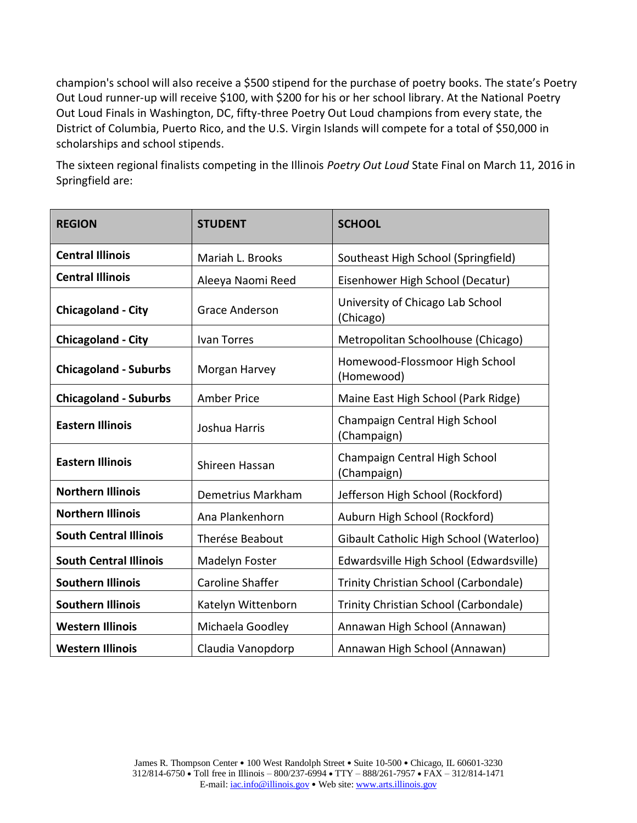champion's school will also receive a \$500 stipend for the purchase of poetry books. The state's Poetry Out Loud runner-up will receive \$100, with \$200 for his or her school library. At the National Poetry Out Loud Finals in Washington, DC, fifty-three Poetry Out Loud champions from every state, the District of Columbia, Puerto Rico, and the U.S. Virgin Islands will compete for a total of \$50,000 in scholarships and school stipends.

The sixteen regional finalists competing in the Illinois *Poetry Out Loud* State Final on March 11, 2016 in Springfield are:

| <b>REGION</b>                 | <b>STUDENT</b>          | <b>SCHOOL</b>                                 |
|-------------------------------|-------------------------|-----------------------------------------------|
| <b>Central Illinois</b>       | Mariah L. Brooks        | Southeast High School (Springfield)           |
| <b>Central Illinois</b>       | Aleeya Naomi Reed       | Eisenhower High School (Decatur)              |
| <b>Chicagoland - City</b>     | <b>Grace Anderson</b>   | University of Chicago Lab School<br>(Chicago) |
| <b>Chicagoland - City</b>     | Ivan Torres             | Metropolitan Schoolhouse (Chicago)            |
| <b>Chicagoland - Suburbs</b>  | Morgan Harvey           | Homewood-Flossmoor High School<br>(Homewood)  |
| <b>Chicagoland - Suburbs</b>  | <b>Amber Price</b>      | Maine East High School (Park Ridge)           |
| <b>Eastern Illinois</b>       | Joshua Harris           | Champaign Central High School<br>(Champaign)  |
| <b>Eastern Illinois</b>       | Shireen Hassan          | Champaign Central High School<br>(Champaign)  |
| <b>Northern Illinois</b>      | Demetrius Markham       | Jefferson High School (Rockford)              |
| <b>Northern Illinois</b>      | Ana Plankenhorn         | Auburn High School (Rockford)                 |
| <b>South Central Illinois</b> | Therése Beabout         | Gibault Catholic High School (Waterloo)       |
| <b>South Central Illinois</b> | Madelyn Foster          | Edwardsville High School (Edwardsville)       |
| <b>Southern Illinois</b>      | <b>Caroline Shaffer</b> | Trinity Christian School (Carbondale)         |
| <b>Southern Illinois</b>      | Katelyn Wittenborn      | Trinity Christian School (Carbondale)         |
| <b>Western Illinois</b>       | Michaela Goodley        | Annawan High School (Annawan)                 |
| <b>Western Illinois</b>       | Claudia Vanopdorp       | Annawan High School (Annawan)                 |